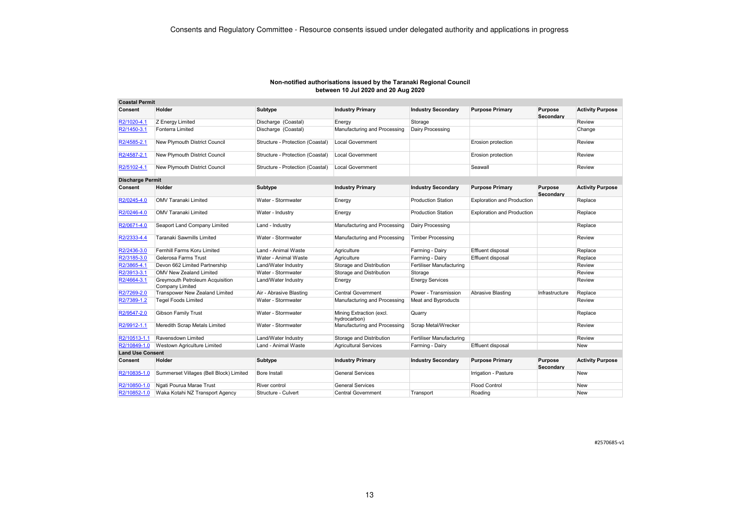| Non-notified authorisations issued by the Taranaki Regional Council |
|---------------------------------------------------------------------|
| between 10 Jul 2020 and 20 Aug 2020                                 |

| <b>Coastal Permit</b>   |                                                    |                                  |                                          |                           |                                   |                      |                         |
|-------------------------|----------------------------------------------------|----------------------------------|------------------------------------------|---------------------------|-----------------------------------|----------------------|-------------------------|
| Consent                 | Holder                                             | Subtype                          | <b>Industry Primary</b>                  | <b>Industry Secondary</b> | <b>Purpose Primary</b>            | Purpose<br>Secondary | <b>Activity Purpose</b> |
| R2/1020-4.1             | Z Energy Limited                                   | Discharge (Coastal)              | Energy                                   | Storage                   |                                   |                      | Review                  |
| R2/1450-3.1             | Fonterra Limited                                   | Discharge (Coastal)              | Manufacturing and Processing             | Dairy Processing          |                                   |                      | Change                  |
| R2/4585-2.1             | New Plymouth District Council                      | Structure - Protection (Coastal) | Local Government                         |                           | Erosion protection                |                      | Review                  |
| R2/4587-2.1             | New Plymouth District Council                      | Structure - Protection (Coastal) | <b>Local Government</b>                  |                           | Erosion protection                |                      | Review                  |
| R2/5102-4.1             | New Plymouth District Council                      | Structure - Protection (Coastal) | <b>Local Government</b>                  |                           | Seawall                           |                      | Review                  |
| <b>Discharge Permit</b> |                                                    |                                  |                                          |                           |                                   |                      |                         |
| Consent                 | Holder                                             | Subtype                          | <b>Industry Primary</b>                  | <b>Industry Secondary</b> | <b>Purpose Primary</b>            | Purpose<br>Secondary | <b>Activity Purpose</b> |
| R2/0245-4.0             | <b>OMV Taranaki Limited</b>                        | Water - Stormwater               | Energy                                   | <b>Production Station</b> | <b>Exploration and Production</b> |                      | Replace                 |
| R2/0246-4.0             | OMV Taranaki Limited                               | Water - Industry                 | Energy                                   | <b>Production Station</b> | <b>Exploration and Production</b> |                      | Replace                 |
| R2/0671-4.0             | Seaport Land Company Limited                       | Land - Industry                  | Manufacturing and Processing             | Dairy Processing          |                                   |                      | Replace                 |
| R2/2333-4.4             | Taranaki Sawmills Limited                          | Water - Stormwater               | Manufacturing and Processing             | <b>Timber Processing</b>  |                                   |                      | Review                  |
| R2/2436-3.0             | Fernhill Farms Koru Limited                        | Land - Animal Waste              | Agriculture                              | Farming - Dairy           | Effluent disposal                 |                      | Replace                 |
| R2/3185-3.0             | Gelerosa Farms Trust                               | Water - Animal Waste             | Agriculture                              | Farming - Dairy           | Effluent disposal                 |                      | Replace                 |
| R2/3865-4.1             | Devon 662 Limited Partnership                      | Land/Water Industry              | Storage and Distribution                 | Fertiliser Manufacturing  |                                   |                      | Review                  |
| R2/3913-3.1             | OMV New Zealand Limited                            | Water - Stormwater               | Storage and Distribution                 | Storage                   |                                   |                      | Review                  |
| R2/4664-3.1             | Greymouth Petroleum Acquisition<br>Company Limited | Land/Water Industry              | Energy                                   | <b>Energy Services</b>    |                                   |                      | Review                  |
| R2/7269-2.0             | Transpower New Zealand Limited                     | Air - Abrasive Blasting          | <b>Central Government</b>                | Power - Transmission      | Abrasive Blasting                 | Infrastructure       | Replace                 |
| R2/7389-1.2             | <b>Tegel Foods Limited</b>                         | Water - Stormwater               | Manufacturing and Processing             | Meat and Byproducts       |                                   |                      | Review                  |
| R2/9547-2.0             | <b>Gibson Family Trust</b>                         | Water - Stormwater               | Mining Extraction (excl.<br>hydrocarbon) | Quarry                    |                                   |                      | Replace                 |
| R2/9912-1.1             | Meredith Scrap Metals Limited                      | Water - Stormwater               | Manufacturing and Processing             | Scrap Metal/Wrecker       |                                   |                      | Review                  |
| R2/10513-1.1            | Ravensdown Limited                                 | Land/Water Industry              | Storage and Distribution                 | Fertiliser Manufacturing  |                                   |                      | Review                  |
| R2/10849-1.0            | Westown Agriculture Limited                        | Land - Animal Waste              | <b>Agricultural Services</b>             | Farming - Dairy           | Effluent disposal                 |                      | <b>New</b>              |
| <b>Land Use Consent</b> |                                                    |                                  |                                          |                           |                                   |                      |                         |
| Consent                 | Holder                                             | Subtype                          | <b>Industry Primary</b>                  | <b>Industry Secondary</b> | <b>Purpose Primary</b>            | Purpose<br>Secondarv | <b>Activity Purpose</b> |
| R2/10835-1.0            | Summerset Villages (Bell Block) Limited            | Bore Install                     | <b>General Services</b>                  |                           | Irrigation - Pasture              |                      | New                     |
| R2/10850-1.0            | Ngati Pourua Marae Trust                           | River control                    | <b>General Services</b>                  |                           | <b>Flood Control</b>              |                      | New                     |
| R2/10852-1.0            | Waka Kotahi NZ Transport Agency                    | Structure - Culvert              | <b>Central Government</b>                | Transport                 | Roading                           |                      | New                     |

#2570685-v1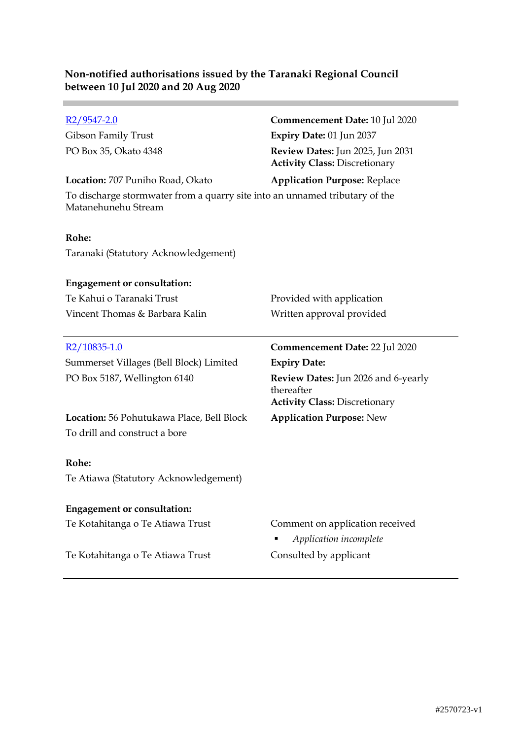| $R2/9547 - 2.0$                                                                                    | Commencement Date: 10 Jul 2020                                           |
|----------------------------------------------------------------------------------------------------|--------------------------------------------------------------------------|
| Gibson Family Trust                                                                                | Expiry Date: 01 Jun 2037                                                 |
| PO Box 35, Okato 4348                                                                              | Review Dates: Jun 2025, Jun 2031<br><b>Activity Class: Discretionary</b> |
| Location: 707 Puniho Road, Okato                                                                   | <b>Application Purpose: Replace</b>                                      |
| To discharge stormwater from a quarry site into an unnamed tributary of the<br>Matanehunehu Stream |                                                                          |
| Rohe:                                                                                              |                                                                          |
| Taranaki (Statutory Acknowledgement)                                                               |                                                                          |
| <b>Engagement or consultation:</b>                                                                 |                                                                          |
| Te Kahui o Taranaki Trust                                                                          | Provided with application                                                |
| Vincent Thomas & Barbara Kalin                                                                     | Written approval provided                                                |
|                                                                                                    |                                                                          |
|                                                                                                    |                                                                          |
| $R2/10835-1.0$                                                                                     | <b>Commencement Date: 22 Jul 2020</b>                                    |
| Summerset Villages (Bell Block) Limited                                                            | <b>Expiry Date:</b>                                                      |
| PO Box 5187, Wellington 6140                                                                       | <b>Review Dates:</b> Jun 2026 and 6-yearly<br>thereafter                 |
|                                                                                                    | <b>Activity Class: Discretionary</b>                                     |
| Location: 56 Pohutukawa Place, Bell Block<br>To drill and construct a bore                         | <b>Application Purpose: New</b>                                          |
| Rohe:                                                                                              |                                                                          |
| Te Atiawa (Statutory Acknowledgement)                                                              |                                                                          |
| <b>Engagement or consultation:</b>                                                                 |                                                                          |
| Te Kotahitanga o Te Atiawa Trust                                                                   | Comment on application received<br>Application incomplete                |

٠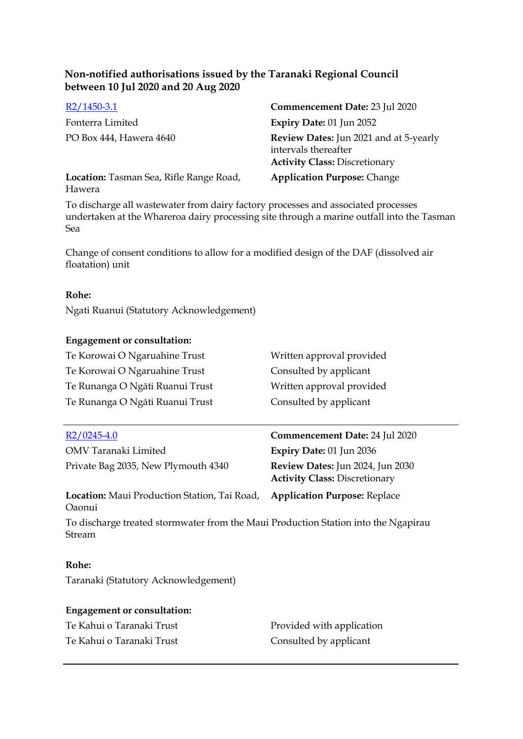| $R2/1450-3.1$                                     | Commencement Date: 23 Jul 2020                                                                         |
|---------------------------------------------------|--------------------------------------------------------------------------------------------------------|
| Fonterra Limited                                  | Expiry Date: 01 Jun 2052                                                                               |
| PO Box 444, Hawera 4640                           | Review Dates: Jun 2021 and at 5-yearly<br>intervals thereafter<br><b>Activity Class: Discretionary</b> |
| Location: Tasman Sea, Rifle Range Road,<br>Hawera | <b>Application Purpose: Change</b>                                                                     |

To discharge all wastewater from dairy factory processes and associated processes undertaken at the Whareroa dairy processing site through a marine outfall into the Tasman Sea

Change of consent conditions to allow for a modified design of the DAF (dissolved air floatation) unit

#### **Rohe:**

Ngati Ruanui (Statutory Acknowledgement)

#### **Engagement or consultation:**

| Te Korowai O Ngaruahine Trust   | Written approval provided |
|---------------------------------|---------------------------|
| Te Korowai O Ngaruahine Trust   | Consulted by applicant    |
| Te Runanga O Ngāti Ruanui Trust | Written approval provided |
| Te Runanga O Ngāti Ruanui Trust | Consulted by applicant    |

| $R2/0245-4.0$                                                                               | Commencement Date: 24 Jul 2020                                           |
|---------------------------------------------------------------------------------------------|--------------------------------------------------------------------------|
| OMV Taranaki Limited                                                                        | Expiry Date: $01$ Jun 2036                                               |
| Private Bag 2035, New Plymouth 4340                                                         | Review Dates: Jun 2024, Jun 2030<br><b>Activity Class: Discretionary</b> |
| Location: Maui Production Station, Tai Road, Application Purpose: Replace<br><b>O</b> aonui |                                                                          |

To discharge treated stormwater from the Maui Production Station into the Ngapirau Stream

#### **Rohe:**

Taranaki (Statutory Acknowledgement)

#### **Engagement or consultation:**

Te Kahui o Taranaki Trust **Provided with application** Te Kahui o Taranaki Trust Consulted by applicant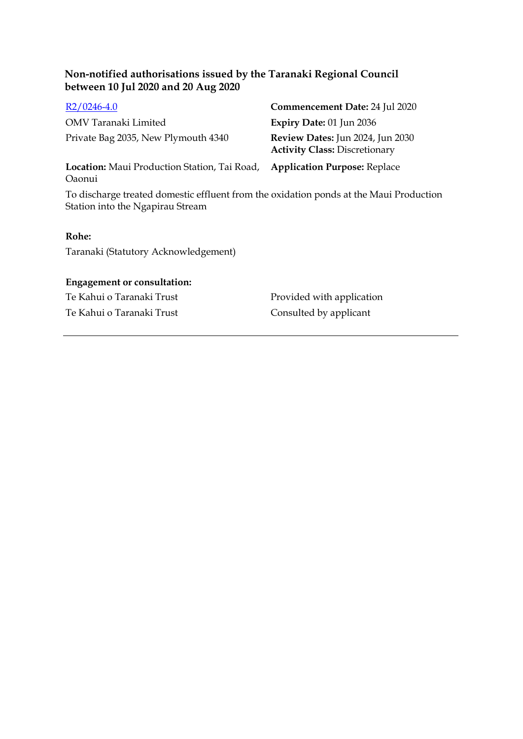| $R2/0246-4.0$                                                 | Commencement Date: 24 Jul 2020                                           |
|---------------------------------------------------------------|--------------------------------------------------------------------------|
| OMV Taranaki Limited                                          | Expiry Date: $01$ Jun 2036                                               |
| Private Bag 2035, New Plymouth 4340                           | Review Dates: Jun 2024, Jun 2030<br><b>Activity Class: Discretionary</b> |
| <b>Location:</b> Maui Production Station, Tai Road,<br>Oaonui | <b>Application Purpose: Replace</b>                                      |

To discharge treated domestic effluent from the oxidation ponds at the Maui Production Station into the Ngapirau Stream

### **Rohe:**

Taranaki (Statutory Acknowledgement)

## **Engagement or consultation:**

Te Kahui o Taranaki Trust Consulted by applicant

Te Kahui o Taranaki Trust Provided with application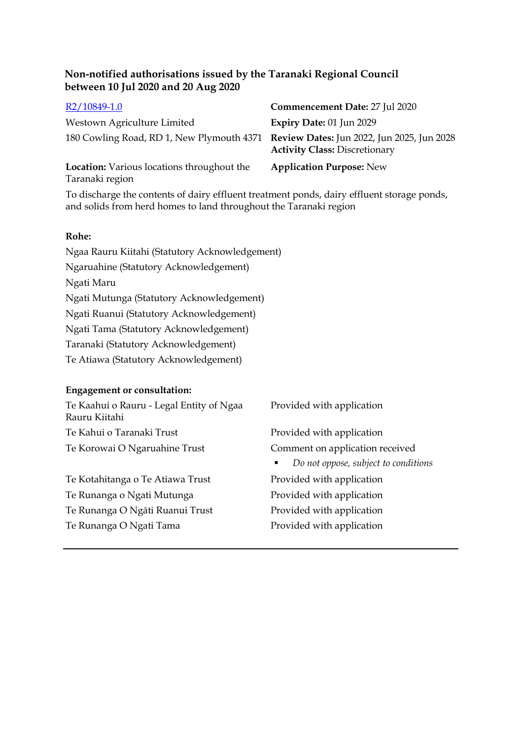| R2/10849-1.0                                                                         | Commencement Date: 27 Jul 2020       |
|--------------------------------------------------------------------------------------|--------------------------------------|
| Westown Agriculture Limited                                                          | Expiry Date: 01 Jun 2029             |
| 180 Cowling Road, RD 1, New Plymouth 4371 Review Dates: Jun 2022, Jun 2025, Jun 2028 | <b>Activity Class: Discretionary</b> |
| Location: Various locations throughout the<br>Taranaki region                        | <b>Application Purpose: New</b>      |

To discharge the contents of dairy effluent treatment ponds, dairy effluent storage ponds, and solids from herd homes to land throughout the Taranaki region

#### **Rohe:**

Ngaa Rauru Kiitahi (Statutory Acknowledgement) Ngaruahine (Statutory Acknowledgement) Ngati Maru Ngati Mutunga (Statutory Acknowledgement) Ngati Ruanui (Statutory Acknowledgement) Ngati Tama (Statutory Acknowledgement) Taranaki (Statutory Acknowledgement) Te Atiawa (Statutory Acknowledgement)

# **Engagement or consultation:**

| Te Kaahui o Rauru - Legal Entity of Ngaa<br>Rauru Kiitahi | Provided with application                              |
|-----------------------------------------------------------|--------------------------------------------------------|
| Te Kahui o Taranaki Trust                                 | Provided with application                              |
| Te Korowai O Ngaruahine Trust                             | Comment on application received                        |
|                                                           | Do not oppose, subject to conditions<br>$\blacksquare$ |
| Te Kotahitanga o Te Atiawa Trust                          | Provided with application                              |
| Te Runanga o Ngati Mutunga                                | Provided with application                              |
| Te Runanga O Ngāti Ruanui Trust                           | Provided with application                              |
|                                                           |                                                        |

Te Runanga O Ngati Tama<br>
Provided with application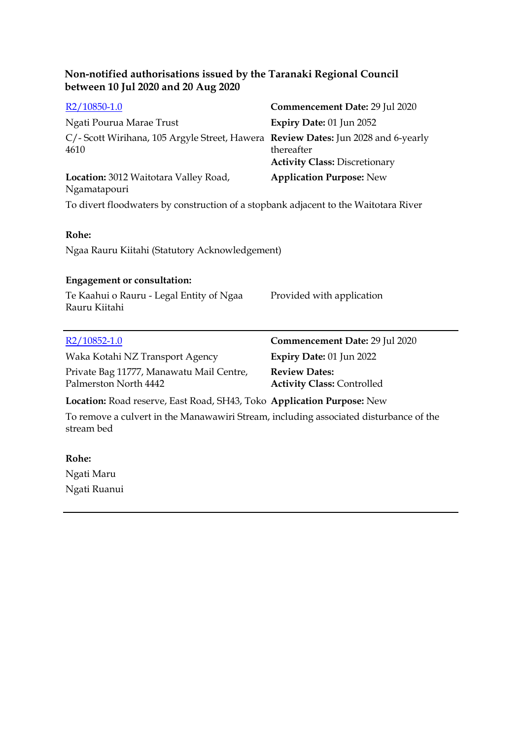| R <sub>2</sub> /10850-1.0                                                                           | Commencement Date: 29 Jul 2020                            |  |  |
|-----------------------------------------------------------------------------------------------------|-----------------------------------------------------------|--|--|
| Ngati Pourua Marae Trust                                                                            | Expiry Date: 01 Jun 2052                                  |  |  |
| C/- Scott Wirihana, 105 Argyle Street, Hawera Review Dates: Jun 2028 and 6-yearly<br>4610           | thereafter<br><b>Activity Class: Discretionary</b>        |  |  |
| Location: 3012 Waitotara Valley Road,<br>Ngamatapouri                                               | <b>Application Purpose: New</b>                           |  |  |
| To divert floodwaters by construction of a stopbank adjacent to the Waitotara River                 |                                                           |  |  |
|                                                                                                     |                                                           |  |  |
| Rohe:                                                                                               |                                                           |  |  |
| Ngaa Rauru Kiitahi (Statutory Acknowledgement)                                                      |                                                           |  |  |
|                                                                                                     |                                                           |  |  |
| <b>Engagement or consultation:</b>                                                                  |                                                           |  |  |
| Te Kaahui o Rauru - Legal Entity of Ngaa<br>Rauru Kiitahi                                           | Provided with application                                 |  |  |
|                                                                                                     |                                                           |  |  |
| $R2/10852-1.0$                                                                                      | Commencement Date: 29 Jul 2020                            |  |  |
| Waka Kotahi NZ Transport Agency                                                                     | Expiry Date: 01 Jun 2022                                  |  |  |
| Private Bag 11777, Manawatu Mail Centre,<br>Palmerston North 4442                                   | <b>Review Dates:</b><br><b>Activity Class: Controlled</b> |  |  |
| Location: Road reserve, East Road, SH43, Toko Application Purpose: New                              |                                                           |  |  |
| To remove a culvert in the Manawawiri Stream, including associated disturbance of the<br>stream bed |                                                           |  |  |

**Rohe:** Ngati Maru Ngati Ruanui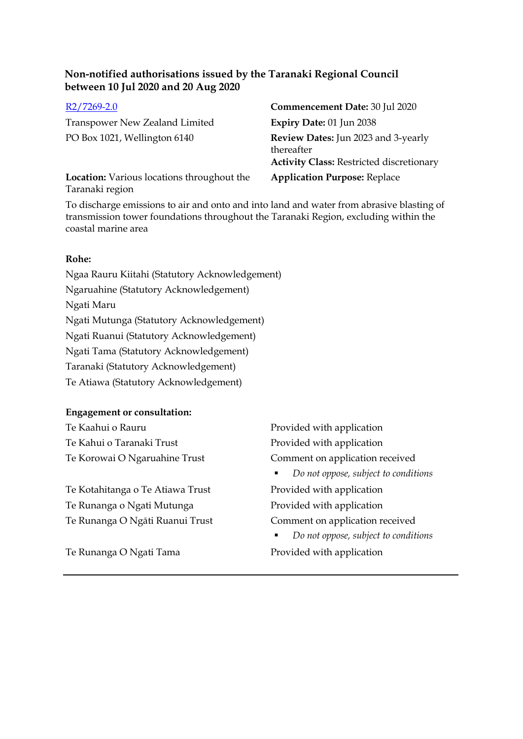Transpower New Zealand Limited **Expiry Date:** 01 Jun 2038

**Location:** Various locations throughout the Taranaki region

R2/7269-2.0 **Commencement Date:** 30 Jul 2020 PO Box 1021, Wellington 6140 **Review Dates:** Jun 2023 and 3-yearly thereafter **Activity Class:** Restricted discretionary **Application Purpose:** Replace

To discharge emissions to air and onto and into land and water from abrasive blasting of transmission tower foundations throughout the Taranaki Region, excluding within the coastal marine area

# **Rohe:**

Ngaa Rauru Kiitahi (Statutory Acknowledgement) Ngaruahine (Statutory Acknowledgement) Ngati Maru Ngati Mutunga (Statutory Acknowledgement) Ngati Ruanui (Statutory Acknowledgement) Ngati Tama (Statutory Acknowledgement) Taranaki (Statutory Acknowledgement) Te Atiawa (Statutory Acknowledgement)

# **Engagement or consultation:**

Te Kaahui o Rauru **Provided with application** Te Kahui o Taranaki Trust Provided with application

Te Kotahitanga o Te Atiawa Trust Provided with application Te Runanga o Ngati Mutunga<br>
Provided with application Te Runanga O Ngāti Ruanui Trust Comment on application received

Te Runanga O Ngati Tama<br>
Provided with application

Te Korowai O Ngaruahine Trust Comment on application received

*Do not oppose, subject to conditions*

*Do not oppose, subject to conditions*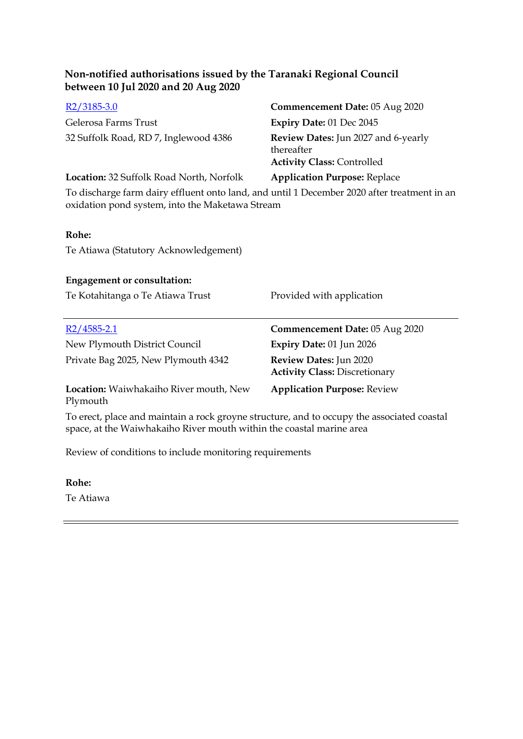| $R2/3185-3.0$                                                                                                                                  | Commencement Date: 05 Aug 2020                                                                |  |  |
|------------------------------------------------------------------------------------------------------------------------------------------------|-----------------------------------------------------------------------------------------------|--|--|
| Gelerosa Farms Trust                                                                                                                           | Expiry Date: 01 Dec 2045                                                                      |  |  |
| 32 Suffolk Road, RD 7, Inglewood 4386                                                                                                          | <b>Review Dates:</b> Jun 2027 and 6-yearly<br>thereafter<br><b>Activity Class: Controlled</b> |  |  |
| Location: 32 Suffolk Road North, Norfolk                                                                                                       | <b>Application Purpose: Replace</b>                                                           |  |  |
| To discharge farm dairy effluent onto land, and until 1 December 2020 after treatment in an<br>oxidation pond system, into the Maketawa Stream |                                                                                               |  |  |
| Rohe:                                                                                                                                          |                                                                                               |  |  |
| Te Atiawa (Statutory Acknowledgement)                                                                                                          |                                                                                               |  |  |
| <b>Engagement or consultation:</b>                                                                                                             |                                                                                               |  |  |
| Te Kotahitanga o Te Atiawa Trust                                                                                                               | Provided with application                                                                     |  |  |
| $R2/4585 - 2.1$                                                                                                                                | Commencement Date: 05 Aug 2020                                                                |  |  |
| New Plymouth District Council                                                                                                                  | Expiry Date: 01 Jun 2026                                                                      |  |  |
| Private Bag 2025, New Plymouth 4342                                                                                                            | Review Dates: Jun 2020<br><b>Activity Class: Discretionary</b>                                |  |  |
| Location: Waiwhakaiho River mouth, New<br>Plymouth                                                                                             | <b>Application Purpose: Review</b>                                                            |  |  |
| To erect, place and maintain a rock groyne structure, and to occupy the associated coastal                                                     |                                                                                               |  |  |

space, at the Waiwhakaiho River mouth within the coastal marine area

Review of conditions to include monitoring requirements

**Rohe:** Te Atiawa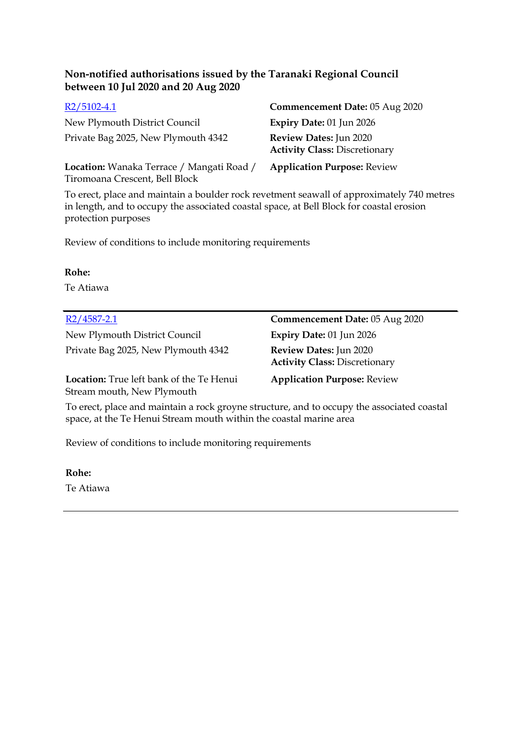| $R2/5102-4.1$                                                               | Commencement Date: 05 Aug 2020                                 |
|-----------------------------------------------------------------------------|----------------------------------------------------------------|
| New Plymouth District Council                                               | Expiry Date: 01 Jun 2026                                       |
| Private Bag 2025, New Plymouth 4342                                         | Review Dates: Jun 2020<br><b>Activity Class: Discretionary</b> |
| Location: Wanaka Terrace / Mangati Road /<br>Tiromoana Crescent, Bell Block | <b>Application Purpose: Review</b>                             |

To erect, place and maintain a boulder rock revetment seawall of approximately 740 metres in length, and to occupy the associated coastal space, at Bell Block for coastal erosion protection purposes

Review of conditions to include monitoring requirements

**Rohe:**

Te Atiawa

New Plymouth District Council **Expiry Date:** 01 Jun 2026 Private Bag 2025, New Plymouth 4342 **Review Dates:** Jun 2020

R2/4587-2.1 **Commencement Date:** 05 Aug 2020 **Activity Class:** Discretionary

**Location:** True left bank of the Te Henui Stream mouth, New Plymouth

**Application Purpose:** Review

To erect, place and maintain a rock groyne structure, and to occupy the associated coastal space, at the Te Henui Stream mouth within the coastal marine area

Review of conditions to include monitoring requirements

**Rohe:**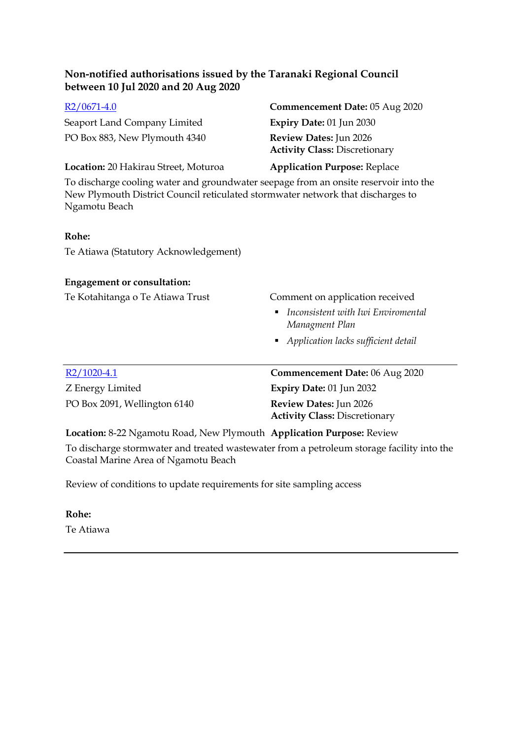Seaport Land Company Limited **Expiry Date:** 01 Jun 2030 PO Box 883, New Plymouth 4340 **Review Dates:** Jun 2026

# R2/0671-4.0 **Commencement Date:** 05 Aug 2020 **Activity Class:** Discretionary

#### **Location:** 20 Hakirau Street, Moturoa **Application Purpose:** Replace

To discharge cooling water and groundwater seepage from an onsite reservoir into the New Plymouth District Council reticulated stormwater network that discharges to Ngamotu Beach

### **Rohe:**

Te Atiawa (Statutory Acknowledgement)

### **Engagement or consultation:**

### Te Kotahitanga o Te Atiawa Trust Comment on application received

- *Inconsistent with Iwi Enviromental Managment Plan*
- *Application lacks sufficient detail*

| $R2/1020-4.1$                | <b>Commencement Date: 06 Aug 2020</b> |
|------------------------------|---------------------------------------|
| Z Energy Limited             | Expiry Date: $01$ Jun 2032            |
| PO Box 2091, Wellington 6140 | <b>Review Dates:</b> Jun 2026         |
|                              | <b>Activity Class: Discretionary</b>  |

**Location:** 8-22 Ngamotu Road, New Plymouth **Application Purpose:** Review

To discharge stormwater and treated wastewater from a petroleum storage facility into the Coastal Marine Area of Ngamotu Beach

Review of conditions to update requirements for site sampling access

**Rohe:** Te Atiawa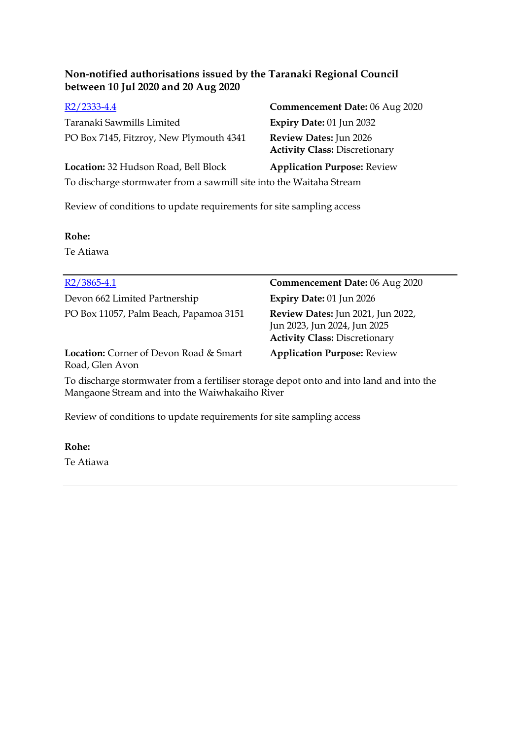Taranaki Sawmills Limited **Expiry Date:** 01 Jun 2032 PO Box 7145, Fitzroy, New Plymouth 4341 **Review Dates:** Jun 2026

R2/2333-4.4 **Commencement Date:** 06 Aug 2020 **Activity Class:** Discretionary

**Location:** 32 Hudson Road, Bell Block **Application Purpose:** Review To discharge stormwater from a sawmill site into the Waitaha Stream

Review of conditions to update requirements for site sampling access

### **Rohe:**

Te Atiawa

| $R2/3865-4.1$                                                                                                                             | <b>Commencement Date: 06 Aug 2020</b>                                                                            |
|-------------------------------------------------------------------------------------------------------------------------------------------|------------------------------------------------------------------------------------------------------------------|
| Devon 662 Limited Partnership                                                                                                             | Expiry Date: 01 Jun 2026                                                                                         |
| PO Box 11057, Palm Beach, Papamoa 3151                                                                                                    | <b>Review Dates:</b> Jun 2021, Jun 2022,<br>Jun 2023, Jun 2024, Jun 2025<br><b>Activity Class: Discretionary</b> |
| <b>Location:</b> Corner of Devon Road & Smart<br>Road, Glen Avon                                                                          | <b>Application Purpose: Review</b>                                                                               |
| To discharge stormwater from a fertiliser storage depot onto and into land and into the<br>Mangaone Stream and into the Waiwhakaiho River |                                                                                                                  |

Review of conditions to update requirements for site sampling access

# **Rohe:**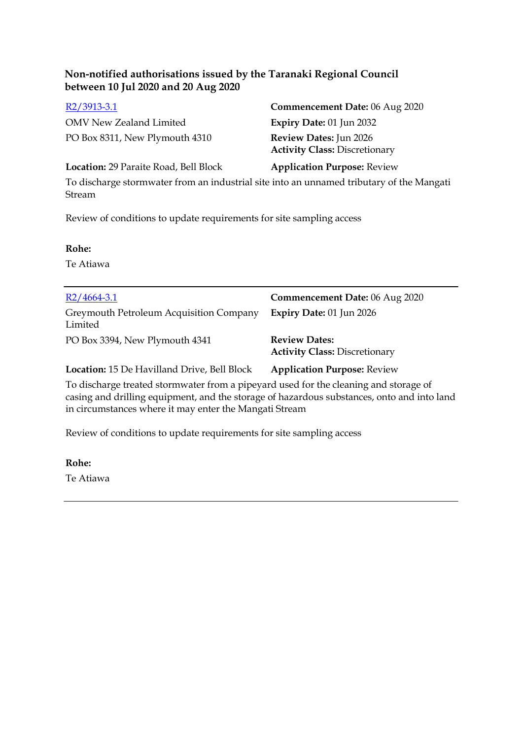OMV New Zealand Limited **Expiry Date:** 01 Jun 2032 PO Box 8311, New Plymouth 4310 **Review Dates:** Jun 2026

R2/3913-3.1 **Commencement Date:** 06 Aug 2020 **Activity Class:** Discretionary

**Location:** 29 Paraite Road, Bell Block **Application Purpose:** Review

To discharge stormwater from an industrial site into an unnamed tributary of the Mangati Stream

Review of conditions to update requirements for site sampling access

### **Rohe:**

Te Atiawa

| $R2/4664-3.1$                                                                                                                                                                                                                                | Commencement Date: 06 Aug 2020                               |
|----------------------------------------------------------------------------------------------------------------------------------------------------------------------------------------------------------------------------------------------|--------------------------------------------------------------|
| Greymouth Petroleum Acquisition Company<br>Limited                                                                                                                                                                                           | Expiry Date: 01 Jun 2026                                     |
| PO Box 3394, New Plymouth 4341                                                                                                                                                                                                               | <b>Review Dates:</b><br><b>Activity Class: Discretionary</b> |
| <b>Location:</b> 15 De Havilland Drive, Bell Block                                                                                                                                                                                           | <b>Application Purpose: Review</b>                           |
| To discharge treated stormwater from a pipeyard used for the cleaning and storage of<br>casing and drilling equipment, and the storage of hazardous substances, onto and into land<br>in circumstances where it may enter the Mangati Stream |                                                              |

Review of conditions to update requirements for site sampling access

#### **Rohe:**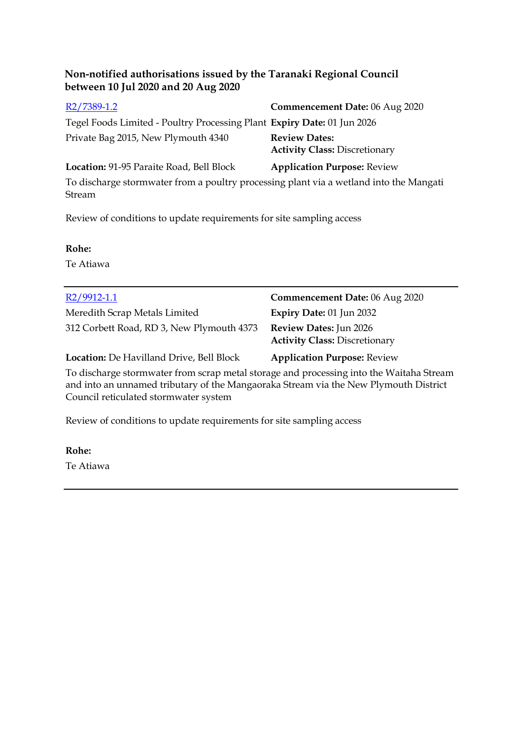| R <sub>2</sub> /7389-1.2                                                               | Commencement Date: 06 Aug 2020                               |
|----------------------------------------------------------------------------------------|--------------------------------------------------------------|
| Tegel Foods Limited - Poultry Processing Plant Expiry Date: 01 Jun 2026                |                                                              |
| Private Bag 2015, New Plymouth 4340                                                    | <b>Review Dates:</b><br><b>Activity Class: Discretionary</b> |
| Location: 91-95 Paraite Road, Bell Block                                               | <b>Application Purpose: Review</b>                           |
| To discharge stormwater from a poultry processing plant via a wetland into the Mangati |                                                              |

Stream

Review of conditions to update requirements for site sampling access

### **Rohe:**

Te Atiawa

| $R2/9912-1.1$                                                                                                                                                                   | Commencement Date: 06 Aug 2020                                        |
|---------------------------------------------------------------------------------------------------------------------------------------------------------------------------------|-----------------------------------------------------------------------|
| Meredith Scrap Metals Limited                                                                                                                                                   | Expiry Date: 01 Jun 2032                                              |
| 312 Corbett Road, RD 3, New Plymouth 4373                                                                                                                                       | <b>Review Dates:</b> Jun 2026<br><b>Activity Class: Discretionary</b> |
| <b>Location:</b> De Havilland Drive, Bell Block                                                                                                                                 | <b>Application Purpose: Review</b>                                    |
| To discharge stormwater from scrap metal storage and processing into the Waitaha Stream<br>and into an unnamed tributary of the Mangaoraka Stream via the New Plymouth District |                                                                       |

and into an unnamed tributary of the Mangaoraka Stream via the New Plymouth District Council reticulated stormwater system

Review of conditions to update requirements for site sampling access

#### **Rohe:**